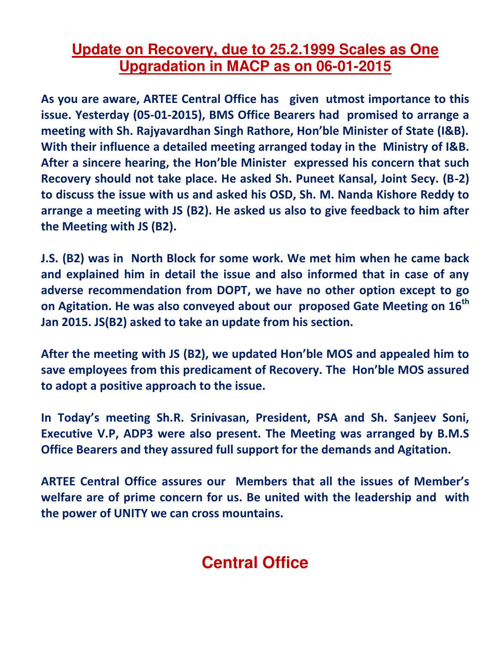## **Update on Recovery, due to 25.2.1999 Scales as One Upgradation in MACP as on 06-01-2015**

**As you are aware, ARTEE Central Office has given utmost importance to this issue. Yesterday (05-01-2015), BMS Office Bearers had promised to arrange a**  meeting with Sh. Rajyavardhan Singh Rathore, Hon'ble Minister of State (I&B). **With their influence a detailed meeting arranged today in the Ministry of I&B.**  After a sincere hearing, the Hon'ble Minister expressed his concern that such **Recovery should not take place. He asked Sh. Puneet Kansal, Joint Secy. (B-2) to discuss the issue with us and asked his OSD, Sh. M. Nanda Kishore Reddy to arrange a meeting with JS (B2). He asked us also to give feedback to him after the Meeting with JS (B2).** 

**J.S. (B2) was in North Block for some work. We met him when he came back and explained him in detail the issue and also informed that in case of any adverse recommendation from DOPT, we have no other option except to go on Agitation. He was also conveyed about our proposed Gate Meeting on 16th Jan 2015. JS(B2) asked to take an update from his section.** 

After the meeting with JS (B2), we updated Hon'ble MOS and appealed him to **save employees from this predicament of Recovery. The Hon'ble MOS assured to adopt a positive approach to the issue.** 

In Today's meeting Sh.R. Srinivasan, President, PSA and Sh. Sanjeev Soni, **Executive V.P, ADP3 were also present. The Meeting was arranged by B.M.S Office Bearers and they assured full support for the demands and Agitation.** 

**ARTEE Central Office assures our Members that all the issues of Meŵďer's welfare are of prime concern for us. Be united with the leadership and with the power of UNITY we can cross mountains.** 

## **Central Office**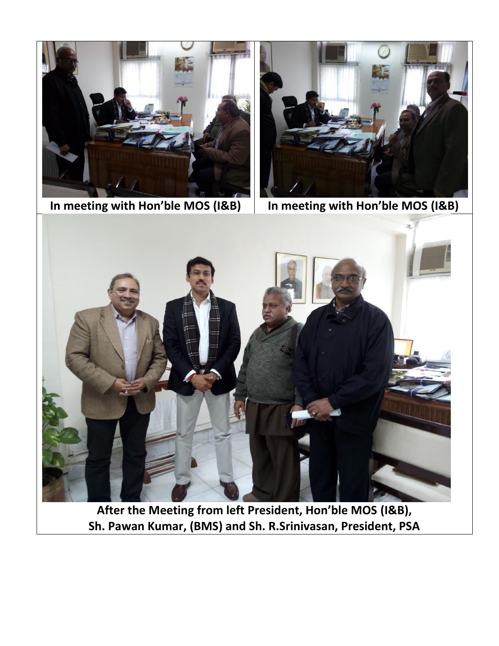

In meeting with Hon'ble MOS (I&B)



In meeting with Hon'ble MOS (I&B)



After the Meeting from left President, Hon'ble MOS (I&B), Sh. Pawan Kumar, (BMS) and Sh. R.Srinivasan, President, PSA